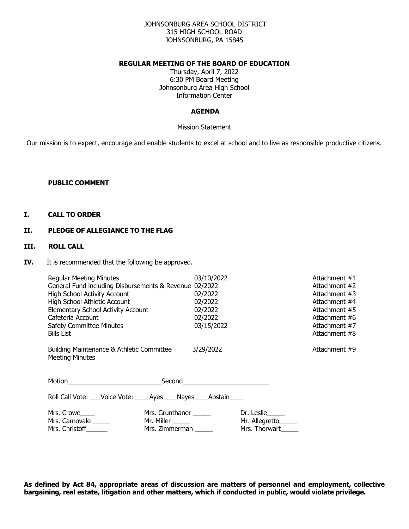### JOHNSONBURG AREA SCHOOL DISTRICT 315 HIGH SCHOOL ROAD JOHNSONBURG, PA 15845

### **REGULAR MEETING OF THE BOARD OF EDUCATION**

Thursday, April 7, 2022 6:30 PM Board Meeting Johnsonburg Area High School Information Center

#### **AGENDA**

Mission Statement

Our mission is to expect, encourage and enable students to excel at school and to live as responsible productive citizens.

#### **PUBLIC COMMENT**

#### **I. CALL TO ORDER**

### **II. PLEDGE OF ALLEGIANCE TO THE FLAG**

### **III. ROLL CALL**

**IV.** It is recommended that the following be approved.

| <b>Regular Meeting Minutes</b><br>General Fund including Disbursements & Revenue 02/2022<br><b>High School Activity Account</b><br>High School Athletic Account<br>Elementary School Activity Account | 03/10/2022<br>02/2022<br>02/2022<br>02/2022 |                     | Attachment #1<br>Attachment #2<br>Attachment #3<br>Attachment #4<br>Attachment #5 |
|-------------------------------------------------------------------------------------------------------------------------------------------------------------------------------------------------------|---------------------------------------------|---------------------|-----------------------------------------------------------------------------------|
| Cafeteria Account                                                                                                                                                                                     | 02/2022                                     |                     | Attachment #6                                                                     |
| <b>Safety Committee Minutes</b>                                                                                                                                                                       | 03/15/2022                                  |                     | Attachment #7                                                                     |
| <b>Bills List</b>                                                                                                                                                                                     |                                             |                     | Attachment #8                                                                     |
| Building Maintenance & Athletic Committee<br><b>Meeting Minutes</b>                                                                                                                                   | 3/29/2022                                   |                     | Attachment #9                                                                     |
| Motion <b>Executive Service Service Service</b> Service Service Service Service Service Service Service Service Service                                                                               |                                             |                     |                                                                                   |
| Roll Call Vote: Voice Vote: Ayes Nayes Abstain                                                                                                                                                        |                                             |                     |                                                                                   |
| Mrs. Grunthaner ______<br>Mrs. Crowe_____                                                                                                                                                             |                                             | Dr. Leslie          |                                                                                   |
| Mrs. Carnovale<br>Mr. Miller ______                                                                                                                                                                   |                                             | Mr. Allegretto_____ |                                                                                   |
| Mrs. Christoff______<br>Mrs. Zimmerman                                                                                                                                                                |                                             | Mrs. Thorwart       |                                                                                   |

**As defined by Act 84, appropriate areas of discussion are matters of personnel and employment, collective bargaining, real estate, litigation and other matters, which if conducted in public, would violate privilege.**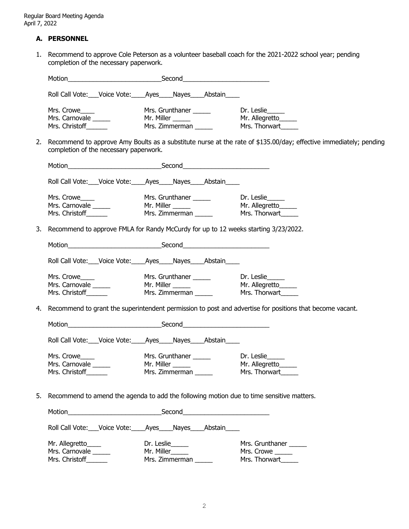## **A. PERSONNEL**

1. Recommend to approve Cole Peterson as a volunteer baseball coach for the 2021-2022 school year; pending completion of the necessary paperwork.

|    |                                        | Roll Call Vote: Voice Vote: Ayes Nayes Abstain                                           |                                                                                                                   |
|----|----------------------------------------|------------------------------------------------------------------------------------------|-------------------------------------------------------------------------------------------------------------------|
|    | Mrs. Crowe____                         |                                                                                          |                                                                                                                   |
|    | Mrs. Carnovale _____                   |                                                                                          |                                                                                                                   |
|    | Mrs. Christoff                         |                                                                                          |                                                                                                                   |
| 2. | completion of the necessary paperwork. |                                                                                          | Recommend to approve Amy Boults as a substitute nurse at the rate of \$135.00/day; effective immediately; pending |
|    |                                        |                                                                                          |                                                                                                                   |
|    |                                        | Roll Call Vote: Voice Vote: Ayes Nayes Abstain                                           |                                                                                                                   |
|    | Mrs. Crowe____                         |                                                                                          |                                                                                                                   |
|    | Mrs. Carnovale ______                  |                                                                                          |                                                                                                                   |
|    | Mrs. Christoff                         |                                                                                          |                                                                                                                   |
| 3. |                                        | Recommend to approve FMLA for Randy McCurdy for up to 12 weeks starting 3/23/2022.       |                                                                                                                   |
|    |                                        |                                                                                          |                                                                                                                   |
|    |                                        | Roll Call Vote: Voice Vote: Ayes Nayes Abstain                                           |                                                                                                                   |
|    | Mrs. Crowe____                         |                                                                                          |                                                                                                                   |
|    | Mrs. Carnovale _____                   | Mr. Miller ______                                                                        |                                                                                                                   |
|    | Mrs. Christoff                         |                                                                                          |                                                                                                                   |
| 4. |                                        |                                                                                          | Recommend to grant the superintendent permission to post and advertise for positions that become vacant.          |
|    |                                        |                                                                                          |                                                                                                                   |
|    |                                        | Roll Call Vote: ___ Voice Vote: _____ Ayes _____ Nayes _____ Abstain _____               |                                                                                                                   |
|    | Mrs. Crowe____                         | Mrs. Grunthaner ______                                                                   | Dr. Leslie                                                                                                        |
|    | Mrs. Carnovale ______                  | Mr. Miller ______                                                                        | Mr. Allegretto                                                                                                    |
|    | Mrs. Christoff______                   | Mrs. Zimmerman                                                                           | Mrs. Thorwart_____                                                                                                |
|    |                                        |                                                                                          |                                                                                                                   |
| 5. |                                        | Recommend to amend the agenda to add the following motion due to time sensitive matters. |                                                                                                                   |
|    |                                        |                                                                                          |                                                                                                                   |
|    |                                        | Roll Call Vote: Voice Vote: Ayes Nayes Abstain                                           |                                                                                                                   |
|    | Mr. Allegretto____                     | Dr. Leslie                                                                               | Mrs. Grunthaner                                                                                                   |
|    | Mrs. Carnovale _____                   | Mr. Miller______                                                                         | Mrs. Crowe _____                                                                                                  |
|    | Mrs. Christoff_______                  | Mrs. Zimmerman                                                                           | Mrs. Thorwart                                                                                                     |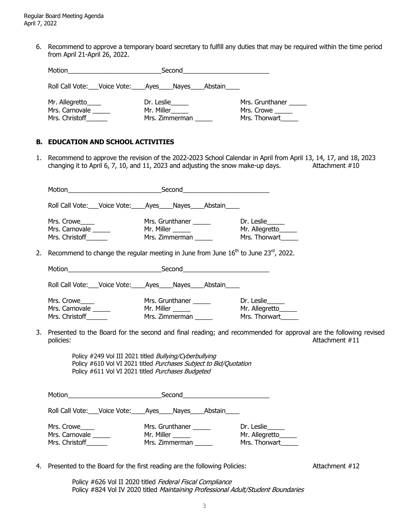6. Recommend to approve a temporary board secretary to fulfill any duties that may be required within the time period from April 21-April 26, 2022.

| Motion<br>Second                                       |                                            |                                                |
|--------------------------------------------------------|--------------------------------------------|------------------------------------------------|
| Roll Call Vote: Voice Vote: Ayes Nayes                 | Abstain                                    |                                                |
| Mr. Allegretto____<br>Mrs. Carnovale<br>Mrs. Christoff | Dr. Leslie<br>Mr. Miller<br>Mrs. Zimmerman | Mrs. Grunthaner<br>Mrs. Crowe<br>Mrs. Thorwart |

### **B. EDUCATION AND SCHOOL ACTIVITIES**

1. Recommend to approve the revision of the 2022-2023 School Calendar in April from April 13, 14, 17, and 18, 2023 changing it to April 6, 7, 10, and 11, 2023 and adjusting the snow make-up days. Attachment  $\#10$ 

| Roll Call Vote: Voice Vote: Ayes Nayes Abstain<br>Mrs. Crowe<br>Mrs. Grunthaner ______<br>Mrs. Carnovale<br>Mr. Miller _____<br>rur. rumer ______<br>Mrs. Zimmerman ______<br>Mrs. Christoff______ | Dr. Leslie<br>Mr. Allegretto_____<br>Mrs. Thorwart |  |
|----------------------------------------------------------------------------------------------------------------------------------------------------------------------------------------------------|----------------------------------------------------|--|
|                                                                                                                                                                                                    |                                                    |  |
|                                                                                                                                                                                                    |                                                    |  |
| 2. Recommend to change the regular meeting in June from June $16^{th}$ to June 23 <sup>rd</sup> , 2022.                                                                                            |                                                    |  |
|                                                                                                                                                                                                    |                                                    |  |
| Roll Call Vote: Voice Vote: Ayes Nayes Abstain                                                                                                                                                     |                                                    |  |
| Mrs. Crowe <b>Example 2019</b><br>Mrs. Carnovale ______<br>Mrs. Christoff ______                                                                                                                   | Mr. Allegretto_____<br>Mrs. Thorwart               |  |
| 3. Presented to the Board for the second and final reading; and recommended for approval are the following revised<br>policies:                                                                    | Attachment #11                                     |  |
| Policy #249 Vol III 2021 titled Bullying/Cyberbullying<br>Policy #610 Vol VI 2021 titled Purchases Subject to Bid/Quotation<br>Policy #611 Vol VI 2021 titled Purchases Budgeted                   |                                                    |  |
|                                                                                                                                                                                                    |                                                    |  |
| Roll Call Vote: Voice Vote: Ayes Nayes Abstain                                                                                                                                                     |                                                    |  |
| Mrs. Crowe<br>Mrs. Grunthaner ______<br>Mrs. Carnovale<br>Mrs. Zimmerman<br>Mrs. Christoff                                                                                                         | Dr. Leslie<br>Mrs. Thorwart                        |  |

4. Presented to the Board for the first reading are the following Policies: Attachment #12

Policy #626 Vol II 2020 titled Federal Fiscal Compliance Policy #824 Vol IV 2020 titled Maintaining Professional Adult/Student Boundaries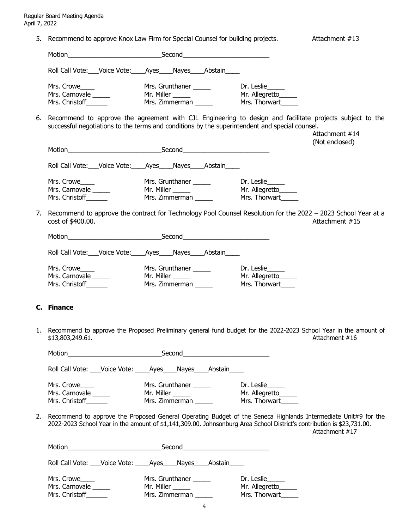5. Recommend to approve Knox Law Firm for Special Counsel for building projects. Attachment #13 Motion\_\_\_\_\_\_\_\_\_\_\_\_\_\_\_\_\_\_\_\_\_\_\_\_\_\_Second\_\_\_\_\_\_\_\_\_\_\_\_\_\_\_\_\_\_\_\_\_\_\_\_ Roll Call Vote: Voice Vote: Ayes Nayes Abstain Mrs. Crowe\_\_\_\_\_ Mrs. Grunthaner \_\_\_\_\_ Dr. Leslie\_\_\_ Mrs. Carnovale \_\_\_\_\_\_\_ Mr. Miller \_\_\_\_\_\_\_ Mr. Allegretto\_\_\_\_\_\_ Mrs. Christoff\_\_\_\_\_\_\_\_ Mrs. Zimmerman \_\_\_\_\_\_ Mrs. Thorwart\_\_\_\_\_\_ 6. Recommend to approve the agreement with CJL Engineering to design and facilitate projects subject to the successful negotiations to the terms and conditions by the superintendent and special counsel. Attachment #14 (Not enclosed) Motion\_\_\_\_\_\_\_\_\_\_\_\_\_\_\_\_\_\_\_\_\_\_\_\_\_\_Second\_\_\_\_\_\_\_\_\_\_\_\_\_\_\_\_\_\_\_\_\_\_\_\_ Roll Call Vote: Voice Vote: Ayes Nayes Abstain Mrs. Crowe\_\_\_\_\_\_ Mrs. Grunthaner \_\_\_\_\_\_ Dr. Leslie\_<br>
Mrs. Carnovale \_\_\_\_\_\_ Mr. Miller \_\_\_\_\_ Mr. Allegretto Mrs. Carnovale \_\_\_\_\_\_ Mr. Miller \_\_\_\_\_\_ Mr. Allegretto\_\_\_\_\_\_ Mrs. Christoff\_\_\_\_\_\_\_\_ Mrs. Zimmerman \_\_\_\_\_\_ Mrs. Thorwart\_\_\_\_\_\_ 7. Recommend to approve the contract for Technology Pool Counsel Resolution for the 2022 – 2023 School Year at a cost of \$400.00. Attachment #15 Motion\_\_\_\_\_\_\_\_\_\_\_\_\_\_\_\_\_\_\_\_\_\_\_\_\_\_Second\_\_\_\_\_\_\_\_\_\_\_\_\_\_\_\_\_\_\_\_\_\_\_\_ Roll Call Vote: \_\_\_Voice Vote: \_\_\_\_Ayes\_\_\_\_Nayes\_\_\_\_Abstain\_\_\_\_\_

| Mrs. Crowe     | Mrs. Grunthaner | Dr. Leslie     |
|----------------|-----------------|----------------|
| Mrs. Carnovale | Mr. Miller      | Mr. Allegretto |
| Mrs. Christoff | Mrs. Zimmerman  | Mrs. Thorwart  |

### **C. Finance**

1. Recommend to approve the Proposed Preliminary general fund budget for the 2022-2023 School Year in the amount of \$13,803,249.61. Attachment #16

| Motion                                                                                                                                                                                                                                                        | Second                                                                                                                                                                                                                               |                                               |
|---------------------------------------------------------------------------------------------------------------------------------------------------------------------------------------------------------------------------------------------------------------|--------------------------------------------------------------------------------------------------------------------------------------------------------------------------------------------------------------------------------------|-----------------------------------------------|
|                                                                                                                                                                                                                                                               | Roll Call Vote: Voice Vote: Ayes Nayes Abstain                                                                                                                                                                                       |                                               |
| Mrs. Crowe <sub>_____</sub><br>Mrs. Carnovale<br>Mrs. Christoff                                                                                                                                                                                               | Mrs. Grunthaner<br>Mr. Miller <u>________</u><br>Mrs. Zimmerman                                                                                                                                                                      | Dr. Leslie<br>Mr. Allegretto<br>Mrs. Thorwart |
| 2. Recommend to approve the Proposed General Operating Budget of the Seneca Highlands Intermediate Unit#9 for the<br>2022-2023 School Year in the amount of \$1,141,309.00. Johnsonburg Area School District's contribution is \$23,731.00.<br>Attachment #17 |                                                                                                                                                                                                                                      |                                               |
| Motion <b>Executive Service Service Service Service</b> Service Service Service Service Service Service Service Service                                                                                                                                       | Second <b>with the contract of the contract of the contract of the contract of the contract of the contract of the contract of the contract of the contract of the contract of the contract of the contract of the contract of t</b> |                                               |
|                                                                                                                                                                                                                                                               | Roll Call Vote: Voice Vote: Ayes Nayes Abstain                                                                                                                                                                                       |                                               |
| Mrs. Crowe<br>Mrs. Carnovale<br>Mrs. Christoff                                                                                                                                                                                                                | Mrs. Grunthaner<br>Mr. Miller <b>Martin</b><br>Mrs. Zimmerman                                                                                                                                                                        | Dr. Leslie<br>Mr. Allegretto<br>Mrs. Thorwart |